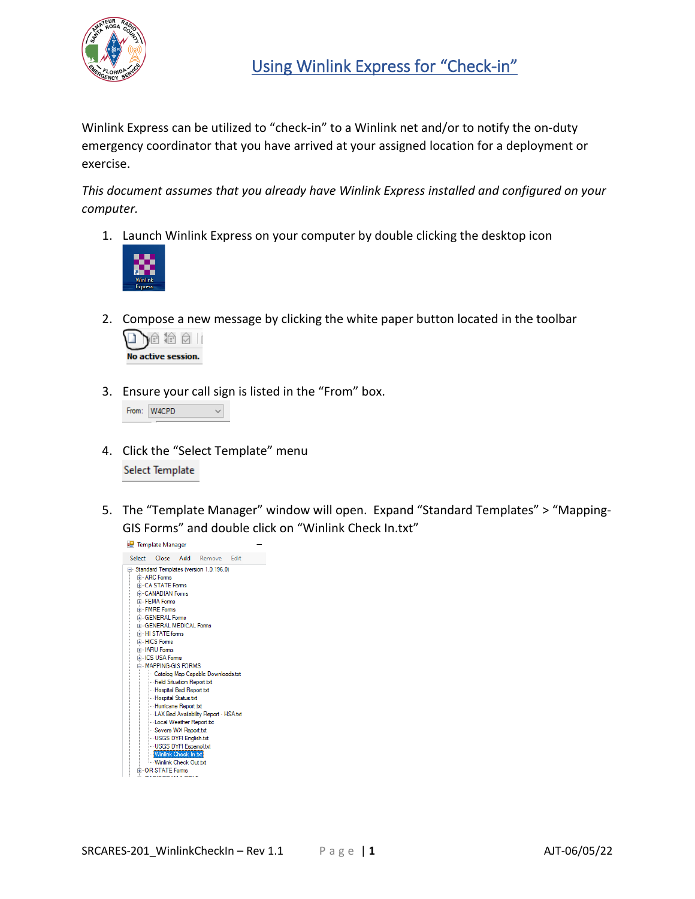

Winlink Express can be utilized to "check-in" to a Winlink net and/or to notify the on-duty emergency coordinator that you have arrived at your assigned location for a deployment or exercise.

*This document assumes that you already have Winlink Express installed and configured on your computer.*

1. Launch Winlink Express on your computer by double clicking the desktop icon



2. Compose a new message by clicking the white paper button located in the toolbar



3. Ensure your call sign is listed in the "From" box.

|  | From: W4CPD |  |
|--|-------------|--|
|--|-------------|--|

- 4. Click the "Select Template" menu Select Template
- 5. The "Template Manager" window will open. Expand "Standard Templates" > "Mapping-GIS Forms" and double click on "Winlink Check In.txt"

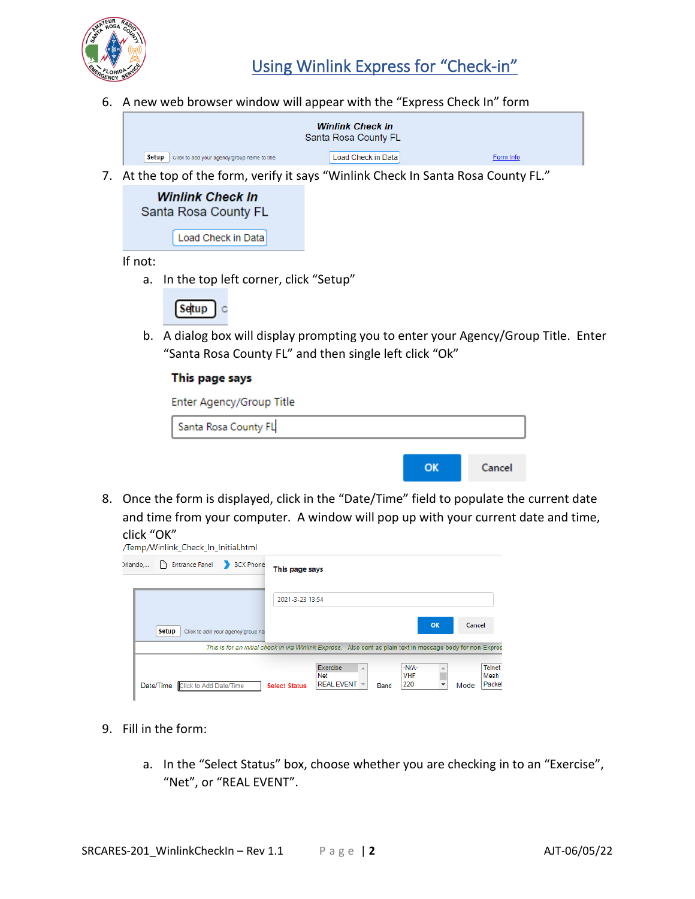

6. A new web browser window will appear with the "Express Check In" form

|                                                         | <b>Winlink Check In</b><br>Santa Rosa County FL |           |
|---------------------------------------------------------|-------------------------------------------------|-----------|
| Setup  <br>Click to add your agency/group name to title | Load Check in Data                              | Form Info |

7. At the top of the form, verify it says "Winlink Check In Santa Rosa County FL."

| Winlink Check In     |                    |  |  |  |  |  |
|----------------------|--------------------|--|--|--|--|--|
| Santa Rosa County FL |                    |  |  |  |  |  |
|                      | Load Check in Data |  |  |  |  |  |

If not:

a. In the top left corner, click "Setup"

Setup  $\circ$ 

b. A dialog box will display prompting you to enter your Agency/Group Title. Enter "Santa Rosa County FL" and then single left click "Ok"

## This page says

| Enter Agency/Group Title |    |        |
|--------------------------|----|--------|
| Santa Rosa County FL     |    |        |
|                          |    |        |
|                          | OK | Cancel |

8. Once the form is displayed, click in the "Date/Time" field to populate the current date and time from your computer. A window will pop up with your current date and time, click "OK"

|         | /Temp/Winlink_Check_In_Initial.html |                                   |                      |                                                                                                                                            |      |                       |    |        |                       |
|---------|-------------------------------------|-----------------------------------|----------------------|--------------------------------------------------------------------------------------------------------------------------------------------|------|-----------------------|----|--------|-----------------------|
| rlando, | ۱۹                                  | Entrance Panel 3CX Phone          | This page says       |                                                                                                                                            |      |                       |    |        |                       |
|         | <b>Setup</b>                        | Click to add your agency/group na | 2021-3-23 13:54      |                                                                                                                                            |      |                       | OK | Cancel |                       |
|         |                                     |                                   |                      | This is for an initial check in via Winlink Express. Also sent as plain text in message body for non-Expres<br>Exercise<br>$\Delta$<br>Net |      | $-N/A-$<br><b>VHF</b> |    |        | <b>Telnet</b><br>Mesh |
|         | Date/Time Click to Add Date/Time    |                                   | <b>Select Status</b> | REAL EVENT ~                                                                                                                               | Band | 220                   |    | Mode   | Packet                |

- 9. Fill in the form:
	- a. In the "Select Status" box, choose whether you are checking in to an "Exercise", "Net", or "REAL EVENT".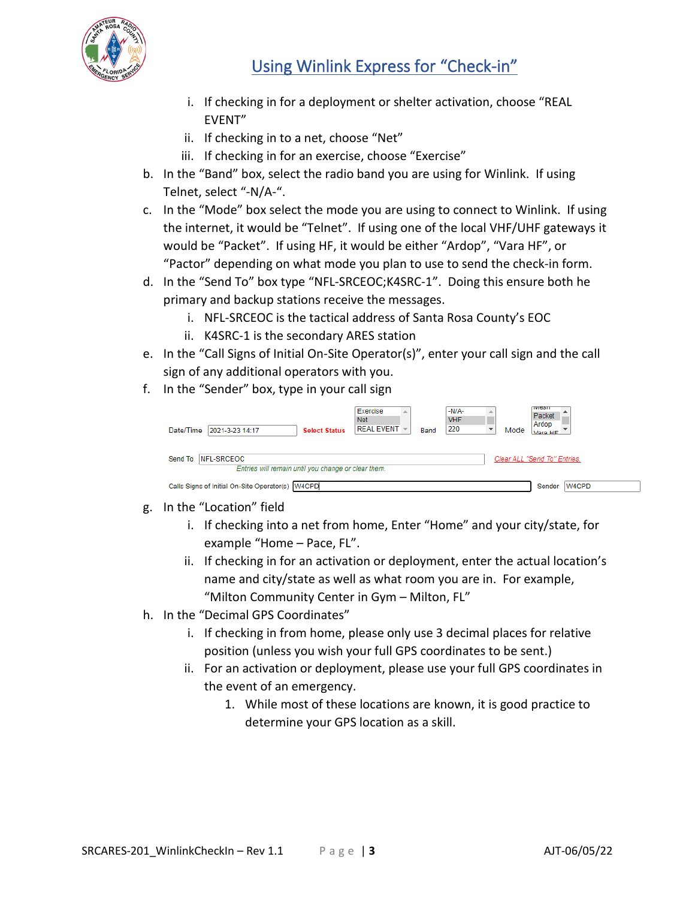

## Using Winlink Express for "Check-in"

- i. If checking in for a deployment or shelter activation, choose "REAL EVENT"
- ii. If checking in to a net, choose "Net"
- iii. If checking in for an exercise, choose "Exercise"
- b. In the "Band" box, select the radio band you are using for Winlink. If using Telnet, select "-N/A-".
- c. In the "Mode" box select the mode you are using to connect to Winlink. If using the internet, it would be "Telnet". If using one of the local VHF/UHF gateways it would be "Packet". If using HF, it would be either "Ardop", "Vara HF", or "Pactor" depending on what mode you plan to use to send the check-in form.
- d. In the "Send To" box type "NFL-SRCEOC;K4SRC-1". Doing this ensure both he primary and backup stations receive the messages.
	- i. NFL-SRCEOC is the tactical address of Santa Rosa County's EOC
	- ii. K4SRC-1 is the secondary ARES station
- e. In the "Call Signs of Initial On-Site Operator(s)", enter your call sign and the call sign of any additional operators with you.
- f. In the "Sender" box, type in your call sign

| Date/Time | 2021-3-23 14:17                                     | <b>Select Status</b> | Exercise<br>A.<br><b>Net</b><br>$REAL$ EVENT $\sim$ | Band | $-N/A-$<br><b>VHF</b><br>220 | Mode | <b>TVICOTT</b><br>Packet<br>Ardop<br>Vara HF |
|-----------|-----------------------------------------------------|----------------------|-----------------------------------------------------|------|------------------------------|------|----------------------------------------------|
|           | Send To NFL-SRCEOC                                  |                      |                                                     |      |                              |      | Clear ALL "Send To" Entries.                 |
|           | Entries will remain until you change or clear them. |                      |                                                     |      |                              |      |                                              |
|           | Calls Signs of Initial On-Site Operator(s) W4CPD    |                      |                                                     |      |                              |      | W4CPD<br>Sender                              |

- g. In the "Location" field
	- i. If checking into a net from home, Enter "Home" and your city/state, for example "Home – Pace, FL".
	- ii. If checking in for an activation or deployment, enter the actual location's name and city/state as well as what room you are in. For example, "Milton Community Center in Gym – Milton, FL"
- h. In the "Decimal GPS Coordinates"
	- i. If checking in from home, please only use 3 decimal places for relative position (unless you wish your full GPS coordinates to be sent.)
	- ii. For an activation or deployment, please use your full GPS coordinates in the event of an emergency.
		- 1. While most of these locations are known, it is good practice to determine your GPS location as a skill.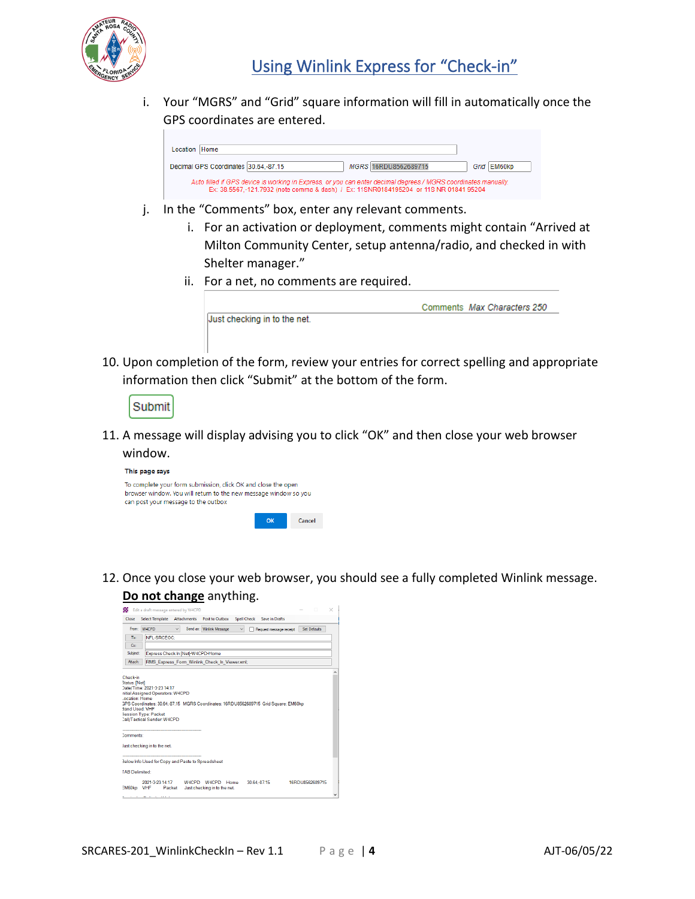

i. Your "MGRS" and "Grid" square information will fill in automatically once the GPS coordinates are entered.



- j. In the "Comments" box, enter any relevant comments.
	- i. For an activation or deployment, comments might contain "Arrived at Milton Community Center, setup antenna/radio, and checked in with Shelter manager."
	- ii. For a net, no comments are required.

|                              | Comments Max Characters 250 |
|------------------------------|-----------------------------|
| Just checking in to the net. |                             |
|                              |                             |
|                              |                             |

10. Upon completion of the form, review your entries for correct spelling and appropriate information then click "Submit" at the bottom of the form.

11. A message will display advising you to click "OK" and then close your web browser window.

| This page says                                                                                                                                                           |          |        |
|--------------------------------------------------------------------------------------------------------------------------------------------------------------------------|----------|--------|
| To complete your form submission, click OK and close the open<br>browser window. You will return to the new message window so you<br>can post your message to the outbox |          |        |
|                                                                                                                                                                          | $\alpha$ | Cancel |

12. Once you close your web browser, you should see a fully completed Winlink message. **Do not change** anything.